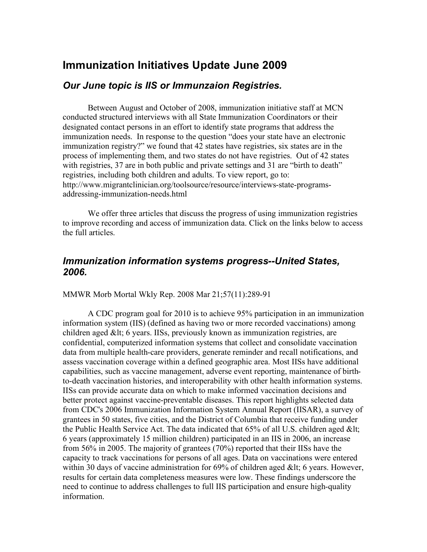# **Immunization Initiatives Update June 2009**

#### *Our June topic is IIS or Immunzaion Registries.*

Between August and October of 2008, immunization initiative staff at MCN conducted structured interviews with all State Immunization Coordinators or their designated contact persons in an effort to identify state programs that address the immunization needs. In response to the question "does your state have an electronic immunization registry?" we found that 42 states have registries, six states are in the process of implementing them, and two states do not have registries. Out of 42 states with registries, 37 are in both public and private settings and 31 are "birth to death" registries, including both children and adults. To view report, go to: http://www.migrantclinician.org/toolsource/resource/interviews-state-programsaddressing-immunization-needs.html

We offer three articles that discuss the progress of using immunization registries to improve recording and access of immunization data. Click on the links below to access the full articles.

#### *Immunization information systems progress--United States, 2006.*

MMWR Morb Mortal Wkly Rep. 2008 Mar 21;57(11):289-91

A CDC program goal for 2010 is to achieve 95% participation in an immunization information system (IIS) (defined as having two or more recorded vaccinations) among children aged < 6 years. IISs, previously known as immunization registries, are confidential, computerized information systems that collect and consolidate vaccination data from multiple health-care providers, generate reminder and recall notifications, and assess vaccination coverage within a defined geographic area. Most IISs have additional capabilities, such as vaccine management, adverse event reporting, maintenance of birthto-death vaccination histories, and interoperability with other health information systems. IISs can provide accurate data on which to make informed vaccination decisions and better protect against vaccine-preventable diseases. This report highlights selected data from CDC's 2006 Immunization Information System Annual Report (IISAR), a survey of grantees in 50 states, five cities, and the District of Columbia that receive funding under the Public Health Service Act. The data indicated that 65% of all U.S. children aged < 6 years (approximately 15 million children) participated in an IIS in 2006, an increase from 56% in 2005. The majority of grantees (70%) reported that their IISs have the capacity to track vaccinations for persons of all ages. Data on vaccinations were entered within 30 days of vaccine administration for  $69\%$  of children aged < 6 years. However, results for certain data completeness measures were low. These findings underscore the need to continue to address challenges to full IIS participation and ensure high-quality information.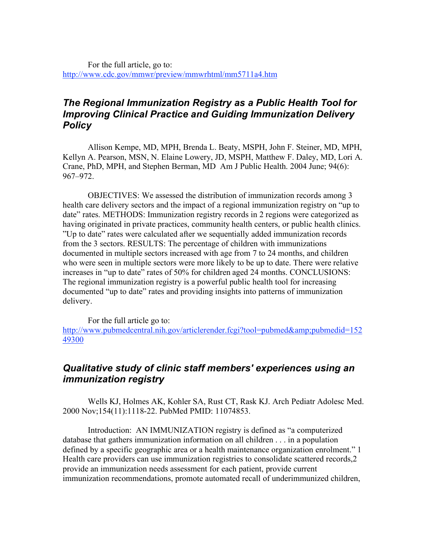For the full article, go to: http://www.cdc.gov/mmwr/preview/mmwrhtml/mm5711a4.htm

## *The Regional Immunization Registry as a Public Health Tool for Improving Clinical Practice and Guiding Immunization Delivery Policy*

Allison Kempe, MD, MPH, Brenda L. Beaty, MSPH, John F. Steiner, MD, MPH, Kellyn A. Pearson, MSN, N. Elaine Lowery, JD, MSPH, Matthew F. Daley, MD, Lori A. Crane, PhD, MPH, and Stephen Berman, MD Am J Public Health. 2004 June; 94(6): 967–972.

OBJECTIVES: We assessed the distribution of immunization records among 3 health care delivery sectors and the impact of a regional immunization registry on "up to date" rates. METHODS: Immunization registry records in 2 regions were categorized as having originated in private practices, community health centers, or public health clinics. "Up to date" rates were calculated after we sequentially added immunization records from the 3 sectors. RESULTS: The percentage of children with immunizations documented in multiple sectors increased with age from 7 to 24 months, and children who were seen in multiple sectors were more likely to be up to date. There were relative increases in "up to date" rates of 50% for children aged 24 months. CONCLUSIONS: The regional immunization registry is a powerful public health tool for increasing documented "up to date" rates and providing insights into patterns of immunization delivery.

For the full article go to: http://www.pubmedcentral.nih.gov/articlerender.fcgi?tool=pubmed&pubmedid=152 49300

### *Qualitative study of clinic staff members' experiences using an immunization registry*

Wells KJ, Holmes AK, Kohler SA, Rust CT, Rask KJ. Arch Pediatr Adolesc Med. 2000 Nov;154(11):1118-22. PubMed PMID: 11074853.

Introduction: AN IMMUNIZATION registry is defined as "a computerized database that gathers immunization information on all children . . . in a population defined by a specific geographic area or a health maintenance organization enrolment." 1 Health care providers can use immunization registries to consolidate scattered records,2 provide an immunization needs assessment for each patient, provide current immunization recommendations, promote automated recall of underimmunized children,